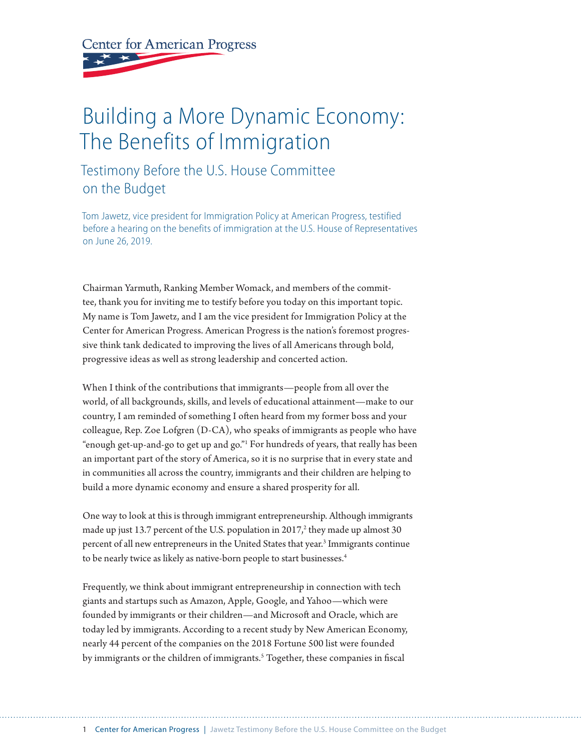**Center for American Progress** 

# Building a More Dynamic Economy: The Benefits of Immigration

## Testimony Before the U.S. House Committee on the Budget

Tom Jawetz, vice president for Immigration Policy at American Progress, testified before a hearing on the benefits of immigration at the U.S. House of Representatives on June 26, 2019.

Chairman Yarmuth, Ranking Member Womack, and members of the committee, thank you for inviting me to testify before you today on this important topic. My name is Tom Jawetz, and I am the vice president for Immigration Policy at the Center for American Progress. American Progress is the nation's foremost progressive think tank dedicated to improving the lives of all Americans through bold, progressive ideas as well as strong leadership and concerted action.

When I think of the contributions that immigrants—people from all over the world, of all backgrounds, skills, and levels of educational attainment—make to our country, I am reminded of something I often heard from my former boss and your colleague, Rep. Zoe Lofgren (D-CA), who speaks of immigrants as people who have "enough get-up-and-go to get up and go."1 For hundreds of years, that really has been an important part of the story of America, so it is no surprise that in every state and in communities all across the country, immigrants and their children are helping to build a more dynamic economy and ensure a shared prosperity for all.

One way to look at this is through immigrant entrepreneurship. Although immigrants made up just 13.7 percent of the U.S. population in 2017, $^2$  they made up almost 30 percent of all new entrepreneurs in the United States that year.<sup>3</sup> Immigrants continue to be nearly twice as likely as native-born people to start businesses.<sup>4</sup>

Frequently, we think about immigrant entrepreneurship in connection with tech giants and startups such as Amazon, Apple, Google, and Yahoo—which were founded by immigrants or their children—and Microsoft and Oracle, which are today led by immigrants. According to a recent study by New American Economy, nearly 44 percent of the companies on the 2018 Fortune 500 list were founded by immigrants or the children of immigrants.<sup>5</sup> Together, these companies in fiscal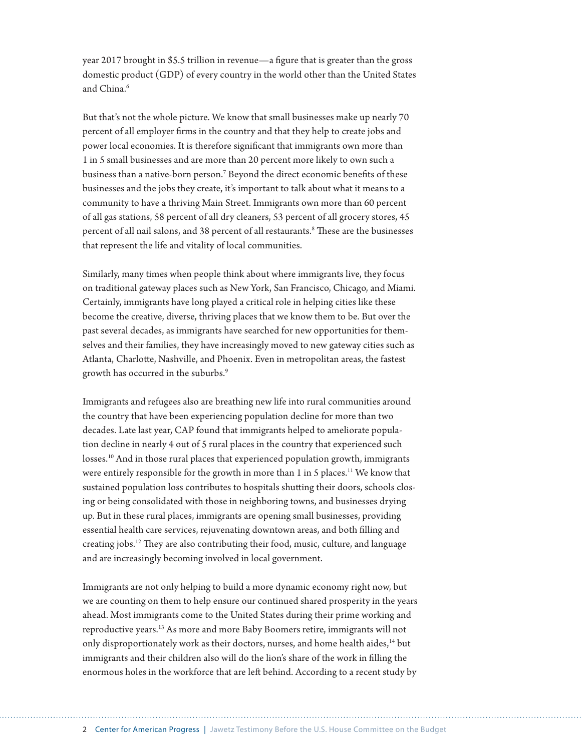year 2017 brought in \$5.5 trillion in revenue—a figure that is greater than the gross domestic product (GDP) of every country in the world other than the United States and China.<sup>6</sup>

But that's not the whole picture. We know that small businesses make up nearly 70 percent of all employer firms in the country and that they help to create jobs and power local economies. It is therefore significant that immigrants own more than 1 in 5 small businesses and are more than 20 percent more likely to own such a business than a native-born person.7 Beyond the direct economic benefits of these businesses and the jobs they create, it's important to talk about what it means to a community to have a thriving Main Street. Immigrants own more than 60 percent of all gas stations, 58 percent of all dry cleaners, 53 percent of all grocery stores, 45 percent of all nail salons, and 38 percent of all restaurants.<sup>8</sup> These are the businesses that represent the life and vitality of local communities.

Similarly, many times when people think about where immigrants live, they focus on traditional gateway places such as New York, San Francisco, Chicago, and Miami. Certainly, immigrants have long played a critical role in helping cities like these become the creative, diverse, thriving places that we know them to be. But over the past several decades, as immigrants have searched for new opportunities for themselves and their families, they have increasingly moved to new gateway cities such as Atlanta, Charlotte, Nashville, and Phoenix. Even in metropolitan areas, the fastest growth has occurred in the suburbs.<sup>9</sup>

Immigrants and refugees also are breathing new life into rural communities around the country that have been experiencing population decline for more than two decades. Late last year, CAP found that immigrants helped to ameliorate population decline in nearly 4 out of 5 rural places in the country that experienced such losses.<sup>10</sup> And in those rural places that experienced population growth, immigrants were entirely responsible for the growth in more than 1 in 5 places.<sup>11</sup> We know that sustained population loss contributes to hospitals shutting their doors, schools closing or being consolidated with those in neighboring towns, and businesses drying up. But in these rural places, immigrants are opening small businesses, providing essential health care services, rejuvenating downtown areas, and both filling and creating jobs.12 They are also contributing their food, music, culture, and language and are increasingly becoming involved in local government.

Immigrants are not only helping to build a more dynamic economy right now, but we are counting on them to help ensure our continued shared prosperity in the years ahead. Most immigrants come to the United States during their prime working and reproductive years.13 As more and more Baby Boomers retire, immigrants will not only disproportionately work as their doctors, nurses, and home health aides,<sup>14</sup> but immigrants and their children also will do the lion's share of the work in filling the enormous holes in the workforce that are left behind. According to a recent study by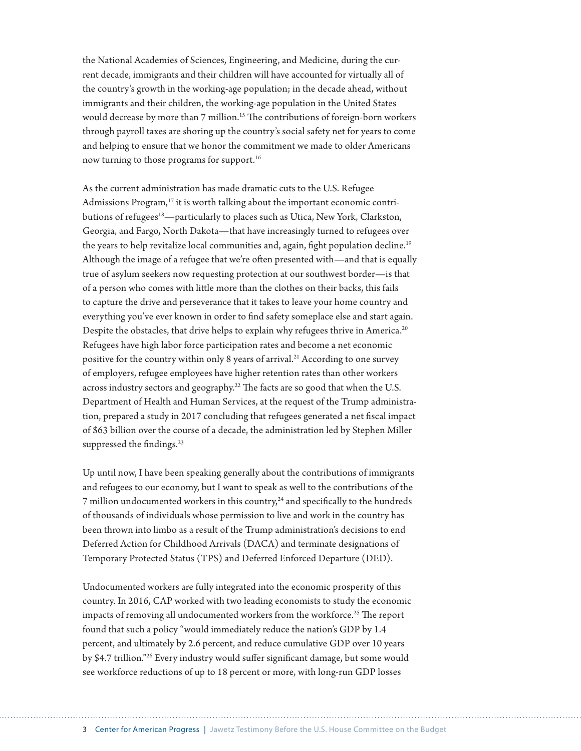the National Academies of Sciences, Engineering, and Medicine, during the current decade, immigrants and their children will have accounted for virtually all of the country's growth in the working-age population; in the decade ahead, without immigrants and their children, the working-age population in the United States would decrease by more than 7 million.<sup>15</sup> The contributions of foreign-born workers through payroll taxes are shoring up the country's social safety net for years to come and helping to ensure that we honor the commitment we made to older Americans now turning to those programs for support.<sup>16</sup>

As the current administration has made dramatic cuts to the U.S. Refugee Admissions Program,<sup>17</sup> it is worth talking about the important economic contributions of refugees<sup>18</sup>—particularly to places such as Utica, New York, Clarkston, Georgia, and Fargo, North Dakota—that have increasingly turned to refugees over the years to help revitalize local communities and, again, fight population decline.<sup>19</sup> Although the image of a refugee that we're often presented with—and that is equally true of asylum seekers now requesting protection at our southwest border—is that of a person who comes with little more than the clothes on their backs, this fails to capture the drive and perseverance that it takes to leave your home country and everything you've ever known in order to find safety someplace else and start again. Despite the obstacles, that drive helps to explain why refugees thrive in America.<sup>20</sup> Refugees have high labor force participation rates and become a net economic positive for the country within only 8 years of arrival.<sup>21</sup> According to one survey of employers, refugee employees have higher retention rates than other workers across industry sectors and geography.<sup>22</sup> The facts are so good that when the U.S. Department of Health and Human Services, at the request of the Trump administration, prepared a study in 2017 concluding that refugees generated a net fiscal impact of \$63 billion over the course of a decade, the administration led by Stephen Miller suppressed the findings.<sup>23</sup>

Up until now, I have been speaking generally about the contributions of immigrants and refugees to our economy, but I want to speak as well to the contributions of the  $7$  million undocumented workers in this country,<sup>24</sup> and specifically to the hundreds of thousands of individuals whose permission to live and work in the country has been thrown into limbo as a result of the Trump administration's decisions to end Deferred Action for Childhood Arrivals (DACA) and terminate designations of Temporary Protected Status (TPS) and Deferred Enforced Departure (DED).

Undocumented workers are fully integrated into the economic prosperity of this country. In 2016, CAP worked with two leading economists to study the economic impacts of removing all undocumented workers from the workforce.<sup>25</sup> The report found that such a policy "would immediately reduce the nation's GDP by 1.4 percent, and ultimately by 2.6 percent, and reduce cumulative GDP over 10 years by \$4.7 trillion."26 Every industry would suffer significant damage, but some would see workforce reductions of up to 18 percent or more, with long-run GDP losses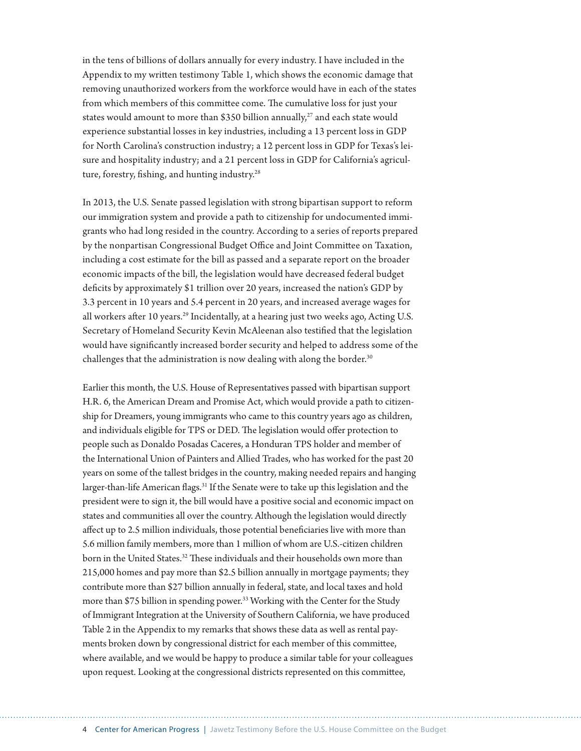in the tens of billions of dollars annually for every industry. I have included in the Appendix to my written testimony Table 1, which shows the economic damage that removing unauthorized workers from the workforce would have in each of the states from which members of this committee come. The cumulative loss for just your states would amount to more than \$350 billion annually,<sup>27</sup> and each state would experience substantial losses in key industries, including a 13 percent loss in GDP for North Carolina's construction industry; a 12 percent loss in GDP for Texas's leisure and hospitality industry; and a 21 percent loss in GDP for California's agriculture, forestry, fishing, and hunting industry.<sup>28</sup>

In 2013, the U.S. Senate passed legislation with strong bipartisan support to reform our immigration system and provide a path to citizenship for undocumented immigrants who had long resided in the country. According to a series of reports prepared by the nonpartisan Congressional Budget Office and Joint Committee on Taxation, including a cost estimate for the bill as passed and a separate report on the broader economic impacts of the bill, the legislation would have decreased federal budget deficits by approximately \$1 trillion over 20 years, increased the nation's GDP by 3.3 percent in 10 years and 5.4 percent in 20 years, and increased average wages for all workers after 10 years.<sup>29</sup> Incidentally, at a hearing just two weeks ago, Acting U.S. Secretary of Homeland Security Kevin McAleenan also testified that the legislation would have significantly increased border security and helped to address some of the challenges that the administration is now dealing with along the border.<sup>30</sup>

Earlier this month, the U.S. House of Representatives passed with bipartisan support H.R. 6, the American Dream and Promise Act, which would provide a path to citizenship for Dreamers, young immigrants who came to this country years ago as children, and individuals eligible for TPS or DED. The legislation would offer protection to people such as Donaldo Posadas Caceres, a Honduran TPS holder and member of the International Union of Painters and Allied Trades, who has worked for the past 20 years on some of the tallest bridges in the country, making needed repairs and hanging larger-than-life American flags.<sup>31</sup> If the Senate were to take up this legislation and the president were to sign it, the bill would have a positive social and economic impact on states and communities all over the country. Although the legislation would directly affect up to 2.5 million individuals, those potential beneficiaries live with more than 5.6 million family members, more than 1 million of whom are U.S.-citizen children born in the United States.<sup>32</sup> These individuals and their households own more than 215,000 homes and pay more than \$2.5 billion annually in mortgage payments; they contribute more than \$27 billion annually in federal, state, and local taxes and hold more than \$75 billion in spending power.<sup>33</sup> Working with the Center for the Study of Immigrant Integration at the University of Southern California, we have produced Table 2 in the Appendix to my remarks that shows these data as well as rental payments broken down by congressional district for each member of this committee, where available, and we would be happy to produce a similar table for your colleagues upon request. Looking at the congressional districts represented on this committee,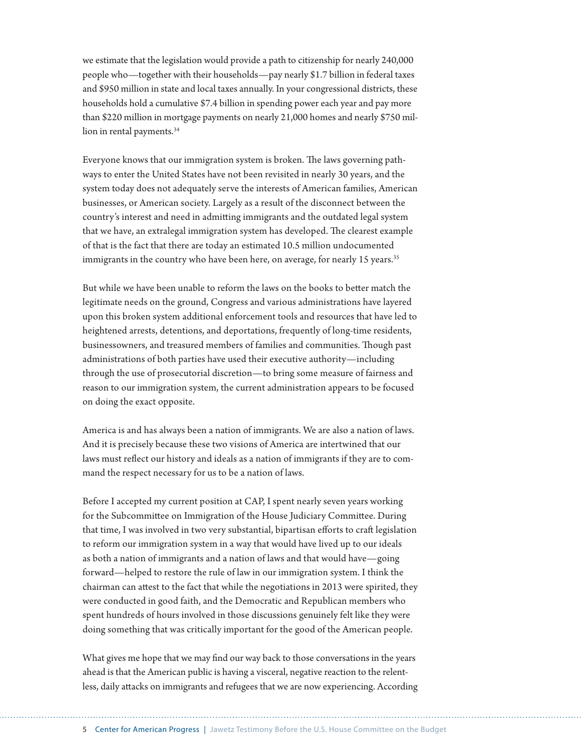we estimate that the legislation would provide a path to citizenship for nearly 240,000 people who—together with their households—pay nearly \$1.7 billion in federal taxes and \$950 million in state and local taxes annually. In your congressional districts, these households hold a cumulative \$7.4 billion in spending power each year and pay more than \$220 million in mortgage payments on nearly 21,000 homes and nearly \$750 million in rental payments.<sup>34</sup>

Everyone knows that our immigration system is broken. The laws governing pathways to enter the United States have not been revisited in nearly 30 years, and the system today does not adequately serve the interests of American families, American businesses, or American society. Largely as a result of the disconnect between the country's interest and need in admitting immigrants and the outdated legal system that we have, an extralegal immigration system has developed. The clearest example of that is the fact that there are today an estimated 10.5 million undocumented immigrants in the country who have been here, on average, for nearly 15 years.<sup>35</sup>

But while we have been unable to reform the laws on the books to better match the legitimate needs on the ground, Congress and various administrations have layered upon this broken system additional enforcement tools and resources that have led to heightened arrests, detentions, and deportations, frequently of long-time residents, businessowners, and treasured members of families and communities. Though past administrations of both parties have used their executive authority—including through the use of prosecutorial discretion—to bring some measure of fairness and reason to our immigration system, the current administration appears to be focused on doing the exact opposite.

America is and has always been a nation of immigrants. We are also a nation of laws. And it is precisely because these two visions of America are intertwined that our laws must reflect our history and ideals as a nation of immigrants if they are to command the respect necessary for us to be a nation of laws.

Before I accepted my current position at CAP, I spent nearly seven years working for the Subcommittee on Immigration of the House Judiciary Committee. During that time, I was involved in two very substantial, bipartisan efforts to craft legislation to reform our immigration system in a way that would have lived up to our ideals as both a nation of immigrants and a nation of laws and that would have—going forward—helped to restore the rule of law in our immigration system. I think the chairman can attest to the fact that while the negotiations in 2013 were spirited, they were conducted in good faith, and the Democratic and Republican members who spent hundreds of hours involved in those discussions genuinely felt like they were doing something that was critically important for the good of the American people.

What gives me hope that we may find our way back to those conversations in the years ahead is that the American public is having a visceral, negative reaction to the relentless, daily attacks on immigrants and refugees that we are now experiencing. According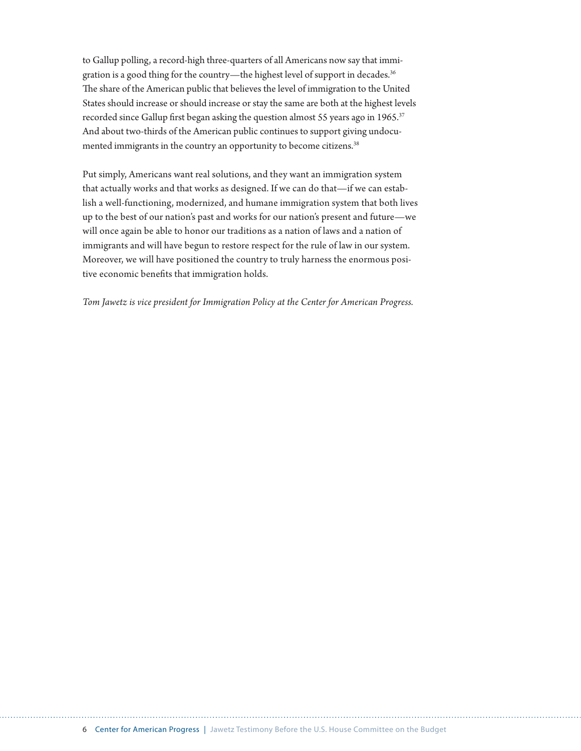to Gallup polling, a record-high three-quarters of all Americans now say that immigration is a good thing for the country—the highest level of support in decades.36 The share of the American public that believes the level of immigration to the United States should increase or should increase or stay the same are both at the highest levels recorded since Gallup first began asking the question almost 55 years ago in 1965.<sup>37</sup> And about two-thirds of the American public continues to support giving undocumented immigrants in the country an opportunity to become citizens.<sup>38</sup>

Put simply, Americans want real solutions, and they want an immigration system that actually works and that works as designed. If we can do that—if we can establish a well-functioning, modernized, and humane immigration system that both lives up to the best of our nation's past and works for our nation's present and future—we will once again be able to honor our traditions as a nation of laws and a nation of immigrants and will have begun to restore respect for the rule of law in our system. Moreover, we will have positioned the country to truly harness the enormous positive economic benefits that immigration holds.

*Tom Jawetz is vice president for Immigration Policy at the Center for American Progress.*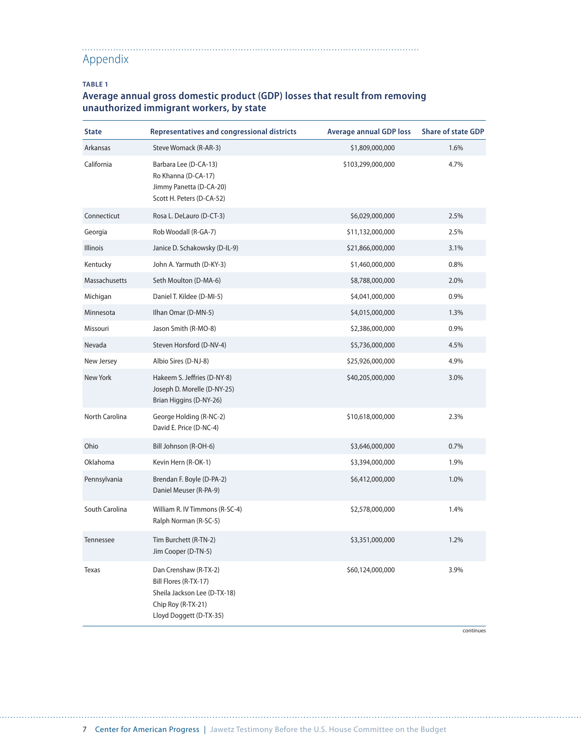#### . . . . . . . . . . . . Appendix

#### **TABLE 1**

#### **Average annual gross domestic product (GDP) losses that result from removing unauthorized immigrant workers, by state**

| <b>State</b>   | <b>Representatives and congressional districts</b>                                                                              | <b>Average annual GDP loss</b> | <b>Share of state GDP</b> |
|----------------|---------------------------------------------------------------------------------------------------------------------------------|--------------------------------|---------------------------|
| Arkansas       | Steve Womack (R-AR-3)                                                                                                           | \$1,809,000,000                | 1.6%                      |
| California     | Barbara Lee (D-CA-13)<br>Ro Khanna (D-CA-17)<br>Jimmy Panetta (D-CA-20)<br>Scott H. Peters (D-CA-52)                            | \$103,299,000,000              | 4.7%                      |
| Connecticut    | Rosa L. DeLauro (D-CT-3)                                                                                                        | \$6,029,000,000                | 2.5%                      |
| Georgia        | Rob Woodall (R-GA-7)                                                                                                            | \$11,132,000,000               | 2.5%                      |
| Illinois       | Janice D. Schakowsky (D-IL-9)                                                                                                   | \$21,866,000,000               | 3.1%                      |
| Kentucky       | John A. Yarmuth (D-KY-3)                                                                                                        | \$1,460,000,000                | 0.8%                      |
| Massachusetts  | Seth Moulton (D-MA-6)                                                                                                           | \$8,788,000,000                | 2.0%                      |
| Michigan       | Daniel T. Kildee (D-MI-5)                                                                                                       | \$4,041,000,000                | 0.9%                      |
| Minnesota      | Ilhan Omar (D-MN-5)                                                                                                             | \$4,015,000,000                | 1.3%                      |
| Missouri       | Jason Smith (R-MO-8)                                                                                                            | \$2,386,000,000                | 0.9%                      |
| Nevada         | Steven Horsford (D-NV-4)                                                                                                        | \$5,736,000,000                | 4.5%                      |
| New Jersey     | Albio Sires (D-NJ-8)                                                                                                            | \$25,926,000,000               | 4.9%                      |
| New York       | Hakeem S. Jeffries (D-NY-8)<br>Joseph D. Morelle (D-NY-25)<br>Brian Higgins (D-NY-26)                                           | \$40,205,000,000               | 3.0%                      |
| North Carolina | George Holding (R-NC-2)<br>David E. Price (D-NC-4)                                                                              | \$10,618,000,000               | 2.3%                      |
| Ohio           | Bill Johnson (R-OH-6)                                                                                                           | \$3,646,000,000                | 0.7%                      |
| Oklahoma       | Kevin Hern (R-OK-1)                                                                                                             | \$3,394,000,000                | 1.9%                      |
| Pennsylvania   | Brendan F. Boyle (D-PA-2)<br>Daniel Meuser (R-PA-9)                                                                             | \$6,412,000,000                | 1.0%                      |
| South Carolina | William R. IV Timmons (R-SC-4)<br>Ralph Norman (R-SC-5)                                                                         | \$2,578,000,000                | 1.4%                      |
| Tennessee      | Tim Burchett (R-TN-2)<br>Jim Cooper (D-TN-5)                                                                                    | \$3,351,000,000                | 1.2%                      |
| Texas          | Dan Crenshaw (R-TX-2)<br>Bill Flores (R-TX-17)<br>Sheila Jackson Lee (D-TX-18)<br>Chip Roy (R-TX-21)<br>Lloyd Doggett (D-TX-35) | \$60,124,000,000               | 3.9%                      |

continues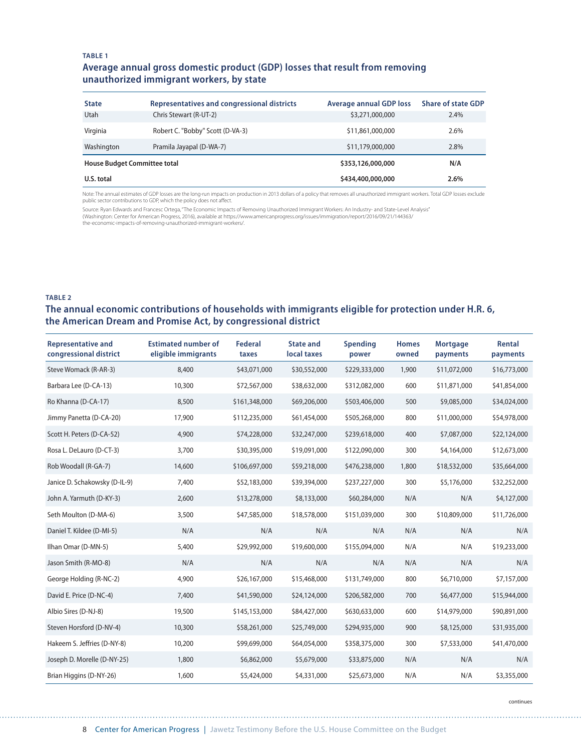#### **TABLE 1**

#### **Average annual gross domestic product (GDP) losses that result from removing unauthorized immigrant workers, by state**

| <b>State</b>                        | Representatives and congressional districts | <b>Average annual GDP loss</b> | <b>Share of state GDP</b> |
|-------------------------------------|---------------------------------------------|--------------------------------|---------------------------|
| Utah                                | Chris Stewart (R-UT-2)                      | \$3,271,000,000                | 2.4%                      |
| Virginia                            | Robert C. "Bobby" Scott (D-VA-3)            | \$11,861,000,000               | 2.6%                      |
| Washington                          | Pramila Jayapal (D-WA-7)                    | \$11,179,000,000               | 2.8%                      |
| <b>House Budget Committee total</b> |                                             | \$353,126,000,000              | N/A                       |
| U.S. total                          |                                             | \$434,400,000,000              | 2.6%                      |

Note: The annual estimates of GDP losses are the long-run impacts on production in 2013 dollars of a policy that removes all unauthorized immigrant workers. Total GDP losses exclude<br>public sector contributions to GDP, whic

Source: Ryan Edwards and Francesc Ortega, "The Economic Impacts of Removing Unauthorized Immigrant Workers: An Industry- and State-Level Analysis"

(Washington: Center for American Progress, 2016), available at https://www.americanprogress.org/issues/immigration/report/2016/09/21/144363/ the-economic-impacts-of-removing-unauthorized-immigrant-workers/.

#### **TABLE 2**

#### **The annual economic contributions of households with immigrants eligible for protection under H.R. 6, the American Dream and Promise Act, by congressional district**

| <b>Representative and</b><br>congressional district | <b>Estimated number of</b><br>eligible immigrants | Federal<br>taxes | <b>State and</b><br>local taxes | <b>Spending</b><br>power | <b>Homes</b><br>owned | <b>Mortgage</b><br>payments | Rental<br>payments |
|-----------------------------------------------------|---------------------------------------------------|------------------|---------------------------------|--------------------------|-----------------------|-----------------------------|--------------------|
| Steve Womack (R-AR-3)                               | 8,400                                             | \$43,071,000     | \$30,552,000                    | \$229,333,000            | 1,900                 | \$11,072,000                | \$16,773,000       |
| Barbara Lee (D-CA-13)                               | 10,300                                            | \$72,567,000     | \$38,632,000                    | \$312,082,000            | 600                   | \$11,871,000                | \$41,854,000       |
| Ro Khanna (D-CA-17)                                 | 8,500                                             | \$161,348,000    | \$69,206,000                    | \$503,406,000            | 500                   | \$9,085,000                 | \$34,024,000       |
| Jimmy Panetta (D-CA-20)                             | 17,900                                            | \$112,235,000    | \$61,454,000                    | \$505,268,000            | 800                   | \$11,000,000                | \$54,978,000       |
| Scott H. Peters (D-CA-52)                           | 4,900                                             | \$74,228,000     | \$32,247,000                    | \$239,618,000            | 400                   | \$7,087,000                 | \$22,124,000       |
| Rosa L. DeLauro (D-CT-3)                            | 3,700                                             | \$30,395,000     | \$19,091,000                    | \$122,090,000            | 300                   | \$4,164,000                 | \$12,673,000       |
| Rob Woodall (R-GA-7)                                | 14,600                                            | \$106,697,000    | \$59,218,000                    | \$476,238,000            | 1,800                 | \$18,532,000                | \$35,664,000       |
| Janice D. Schakowsky (D-IL-9)                       | 7,400                                             | \$52,183,000     | \$39,394,000                    | \$237,227,000            | 300                   | \$5,176,000                 | \$32,252,000       |
| John A. Yarmuth (D-KY-3)                            | 2,600                                             | \$13,278,000     | \$8,133,000                     | \$60,284,000             | N/A                   | N/A                         | \$4,127,000        |
| Seth Moulton (D-MA-6)                               | 3,500                                             | \$47,585,000     | \$18,578,000                    | \$151,039,000            | 300                   | \$10,809,000                | \$11,726,000       |
| Daniel T. Kildee (D-MI-5)                           | N/A                                               | N/A              | N/A                             | N/A                      | N/A                   | N/A                         | N/A                |
| Ilhan Omar (D-MN-5)                                 | 5,400                                             | \$29,992,000     | \$19,600,000                    | \$155,094,000            | N/A                   | N/A                         | \$19,233,000       |
| Jason Smith (R-MO-8)                                | N/A                                               | N/A              | N/A                             | N/A                      | N/A                   | N/A                         | N/A                |
| George Holding (R-NC-2)                             | 4,900                                             | \$26,167,000     | \$15,468,000                    | \$131,749,000            | 800                   | \$6,710,000                 | \$7,157,000        |
| David E. Price (D-NC-4)                             | 7,400                                             | \$41,590,000     | \$24,124,000                    | \$206,582,000            | 700                   | \$6,477,000                 | \$15,944,000       |
| Albio Sires (D-NJ-8)                                | 19,500                                            | \$145,153,000    | \$84,427,000                    | \$630,633,000            | 600                   | \$14,979,000                | \$90,891,000       |
| Steven Horsford (D-NV-4)                            | 10,300                                            | \$58,261,000     | \$25,749,000                    | \$294,935,000            | 900                   | \$8,125,000                 | \$31,935,000       |
| Hakeem S. Jeffries (D-NY-8)                         | 10,200                                            | \$99,699,000     | \$64,054,000                    | \$358,375,000            | 300                   | \$7,533,000                 | \$41,470,000       |
| Joseph D. Morelle (D-NY-25)                         | 1,800                                             | \$6,862,000      | \$5,679,000                     | \$33,875,000             | N/A                   | N/A                         | N/A                |
| Brian Higgins (D-NY-26)                             | 1,600                                             | \$5,424,000      | \$4,331,000                     | \$25,673,000             | N/A                   | N/A                         | \$3,355,000        |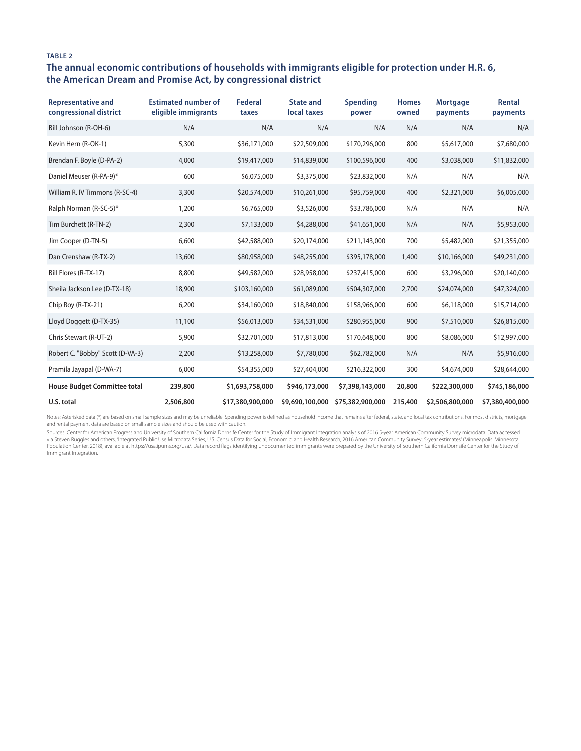#### **TABLE 2**

#### **The annual economic contributions of households with immigrants eligible for protection under H.R. 6, the American Dream and Promise Act, by congressional district**

| <b>Representative and</b><br>congressional district | <b>Estimated number of</b><br>eligible immigrants | Federal<br>taxes | <b>State and</b><br>local taxes | Spending<br>power | <b>Homes</b><br>owned | <b>Mortgage</b><br>payments | Rental<br>payments |
|-----------------------------------------------------|---------------------------------------------------|------------------|---------------------------------|-------------------|-----------------------|-----------------------------|--------------------|
| Bill Johnson (R-OH-6)                               | N/A                                               | N/A              | N/A                             | N/A               | N/A                   | N/A                         | N/A                |
| Kevin Hern (R-OK-1)                                 | 5,300                                             | \$36,171,000     | \$22,509,000                    | \$170,296,000     | 800                   | \$5,617,000                 | \$7,680,000        |
| Brendan F. Boyle (D-PA-2)                           | 4,000                                             | \$19,417,000     | \$14,839,000                    | \$100,596,000     | 400                   | \$3,038,000                 | \$11,832,000       |
| Daniel Meuser (R-PA-9)*                             | 600                                               | \$6,075,000      | \$3,375,000                     | \$23,832,000      | N/A                   | N/A                         | N/A                |
| William R. IV Timmons (R-SC-4)                      | 3,300                                             | \$20,574,000     | \$10,261,000                    | \$95,759,000      | 400                   | \$2,321,000                 | \$6,005,000        |
| Ralph Norman (R-SC-5)*                              | 1,200                                             | \$6,765,000      | \$3,526,000                     | \$33,786,000      | N/A                   | N/A                         | N/A                |
| Tim Burchett (R-TN-2)                               | 2,300                                             | \$7,133,000      | \$4,288,000                     | \$41,651,000      | N/A                   | N/A                         | \$5,953,000        |
| Jim Cooper (D-TN-5)                                 | 6,600                                             | \$42,588,000     | \$20,174,000                    | \$211,143,000     | 700                   | \$5,482,000                 | \$21,355,000       |
| Dan Crenshaw (R-TX-2)                               | 13,600                                            | \$80,958,000     | \$48,255,000                    | \$395,178,000     | 1,400                 | \$10,166,000                | \$49,231,000       |
| Bill Flores (R-TX-17)                               | 8,800                                             | \$49,582,000     | \$28,958,000                    | \$237,415,000     | 600                   | \$3,296,000                 | \$20,140,000       |
| Sheila Jackson Lee (D-TX-18)                        | 18,900                                            | \$103,160,000    | \$61,089,000                    | \$504,307,000     | 2,700                 | \$24,074,000                | \$47,324,000       |
| Chip Roy (R-TX-21)                                  | 6,200                                             | \$34,160,000     | \$18,840,000                    | \$158,966,000     | 600                   | \$6,118,000                 | \$15,714,000       |
| Lloyd Doggett (D-TX-35)                             | 11,100                                            | \$56,013,000     | \$34,531,000                    | \$280,955,000     | 900                   | \$7,510,000                 | \$26,815,000       |
| Chris Stewart (R-UT-2)                              | 5,900                                             | \$32,701,000     | \$17,813,000                    | \$170,648,000     | 800                   | \$8,086,000                 | \$12,997,000       |
| Robert C. "Bobby" Scott (D-VA-3)                    | 2,200                                             | \$13,258,000     | \$7,780,000                     | \$62,782,000      | N/A                   | N/A                         | \$5,916,000        |
| Pramila Jayapal (D-WA-7)                            | 6,000                                             | \$54,355,000     | \$27,404,000                    | \$216,322,000     | 300                   | \$4,674,000                 | \$28,644,000       |
| <b>House Budget Committee total</b>                 | 239,800                                           | \$1,693,758,000  | \$946,173,000                   | \$7,398,143,000   | 20,800                | \$222,300,000               | \$745,186,000      |
| U.S. total                                          | 2,506,800                                         | \$17,380,900,000 | \$9,690,100,000                 | \$75,382,900,000  | 215,400               | \$2,506,800,000             | \$7,380,400,000    |

Notes: Asterisked data (\*) are based on small sample sizes and may be unreliable. Spending power is defined as household income that remains after federal, state, and local tax contributions. For most districts, mortgage<br>a

Sources: Center for American Progress and University of Southern California Dornsife Center for the Study of Immigrant Integration analysis of 2016 5-year American Community Survey microdata. Data accessed<br>via Steven Ruggl Immigrant Integration.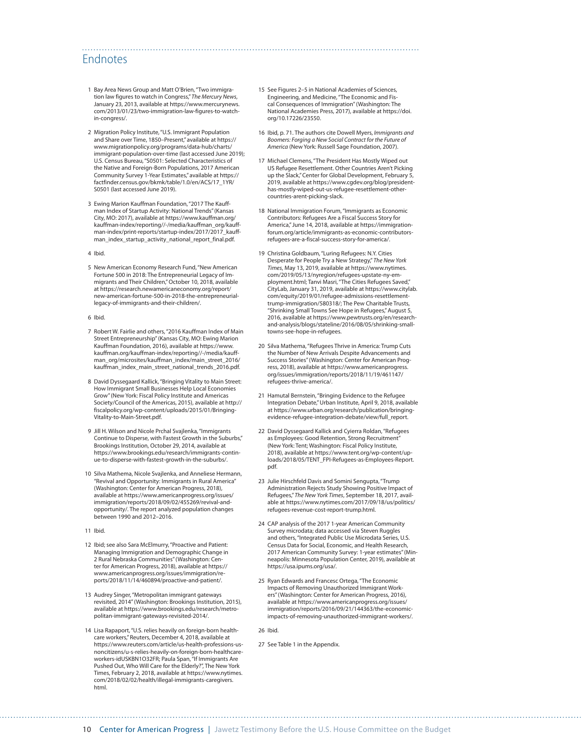### Endnotes

- 1 Bay Area News Group and Matt O'Brien, "Two immigration law figures to watch in Congress," *The Mercury News*, January 23, 2013, available at [https://www.mercurynews.](https://www.mercurynews.com/2013/01/23/two-immigration-law-figures-to-watch-in-congress/) [com/2013/01/23/two-immigration-law-figures-to-watch](https://www.mercurynews.com/2013/01/23/two-immigration-law-figures-to-watch-in-congress/)[in-congress/.](https://www.mercurynews.com/2013/01/23/two-immigration-law-figures-to-watch-in-congress/)
- 2 Migration Policy Institute, "U.S. Immigrant Population and Share over Time, 1850–Present," available at [https://](https://www.migrationpolicy.org/programs/data-hub/charts/immigrant-population-over-time) [www.migrationpolicy.org/programs/data-hub/charts/](https://www.migrationpolicy.org/programs/data-hub/charts/immigrant-population-over-time) [immigrant-population-over-time](https://www.migrationpolicy.org/programs/data-hub/charts/immigrant-population-over-time) (last accessed June 2019); U.S. Census Bureau, "S0501: Selected Characteristics of the Native and Foreign-Born Populations, 2017 American Community Survey 1-Year Estimates," available at [https://](https://factfinder.census.gov/bkmk/table/1.0/en/ACS/17_1YR/S0501) [factfinder.census.gov/bkmk/table/1.0/en/ACS/17\\_1YR/](https://factfinder.census.gov/bkmk/table/1.0/en/ACS/17_1YR/S0501) [S0501](https://factfinder.census.gov/bkmk/table/1.0/en/ACS/17_1YR/S0501) (last accessed June 2019).
- 3 Ewing Marion Kauffman Foundation, "2017 The Kauffman Index of Startup Activity: National Trends" (Kansas City, MO: 2017), available at [https://www.kauffman.org/](https://www.kauffman.org/kauffman-index/reporting//-/media/kauffman_org/kauffman-index/print-reports/startup-index/2017/2017_kauffman_index_startup_activity_national_report_final.pdf) [kauffman-index/reporting//-/media/kauffman\\_org/kauff](https://www.kauffman.org/kauffman-index/reporting//-/media/kauffman_org/kauffman-index/print-reports/startup-index/2017/2017_kauffman_index_startup_activity_national_report_final.pdf)[man-index/print-reports/startup-index/2017/2017\\_kauff](https://www.kauffman.org/kauffman-index/reporting//-/media/kauffman_org/kauffman-index/print-reports/startup-index/2017/2017_kauffman_index_startup_activity_national_report_final.pdf)[man\\_index\\_startup\\_activity\\_national\\_report\\_final.pdf](https://www.kauffman.org/kauffman-index/reporting//-/media/kauffman_org/kauffman-index/print-reports/startup-index/2017/2017_kauffman_index_startup_activity_national_report_final.pdf).
- 4 Ibid.
- 5 New American Economy Research Fund, "New American Fortune 500 in 2018: The Entrepreneurial Legacy of Immigrants and Their Children," October 10, 2018, available at [https://research.newamericaneconomy.org/report/](https://research.newamericaneconomy.org/report/new-american-fortune-500-in-2018-the-entrepreneurial-legacy-of-immigrants-and-their-children/) [new-american-fortune-500-in-2018-the-entrepreneurial](https://research.newamericaneconomy.org/report/new-american-fortune-500-in-2018-the-entrepreneurial-legacy-of-immigrants-and-their-children/)[legacy-of-immigrants-and-their-children/.](https://research.newamericaneconomy.org/report/new-american-fortune-500-in-2018-the-entrepreneurial-legacy-of-immigrants-and-their-children/)
- 6 Ibid.
- 7 Robert W. Fairlie and others, "2016 Kauffman Index of Main Street Entrepreneurship" (Kansas City, MO: Ewing Marion Kauffman Foundation, 2016), available at [https://www.](https://www.kauffman.org/kauffman-index/reporting//-/media/kauffman_org/microsites/kauffman_index/main_street_2016/kauffman_index_main_street_national_trends_2016.pdf) [kauffman.org/kauffman-index/reporting//-/media/kauff](https://www.kauffman.org/kauffman-index/reporting//-/media/kauffman_org/microsites/kauffman_index/main_street_2016/kauffman_index_main_street_national_trends_2016.pdf)[man\\_org/microsites/kauffman\\_index/main\\_street\\_2016/](https://www.kauffman.org/kauffman-index/reporting//-/media/kauffman_org/microsites/kauffman_index/main_street_2016/kauffman_index_main_street_national_trends_2016.pdf) [kauffman\\_index\\_main\\_street\\_national\\_trends\\_2016.pdf.](https://www.kauffman.org/kauffman-index/reporting//-/media/kauffman_org/microsites/kauffman_index/main_street_2016/kauffman_index_main_street_national_trends_2016.pdf)
- 8 David Dyssegaard Kallick, "Bringing Vitality to Main Street: How Immigrant Small Businesses Help Local Economies Grow" (New York: Fiscal Policy Institute and Americas Society/Council of the Americas, 2015), available at [http://](http://fiscalpolicy.org/wp-content/uploads/2015/01/Bringing-Vitality-to-Main-Street.pdf) [fiscalpolicy.org/wp-content/uploads/2015/01/Bringing-](http://fiscalpolicy.org/wp-content/uploads/2015/01/Bringing-Vitality-to-Main-Street.pdf)[Vitality-to-Main-Street.pdf](http://fiscalpolicy.org/wp-content/uploads/2015/01/Bringing-Vitality-to-Main-Street.pdf).
- 9 Jill H. Wilson and Nicole Prchal Svajlenka, "Immigrants Continue to Disperse, with Fastest Growth in the Suburbs," Brookings Institution, October 29, 2014, available at [https://www.brookings.edu/research/immigrants-contin](https://www.brookings.edu/research/immigrants-continue-to-disperse-with-fastest-growth-in-the-suburbs/)[ue-to-disperse-with-fastest-growth-in-the-suburbs/.](https://www.brookings.edu/research/immigrants-continue-to-disperse-with-fastest-growth-in-the-suburbs/)
- 10 Silva Mathema, Nicole Svajlenka, and Anneliese Hermann, "Revival and Opportunity: Immigrants in Rural America" (Washington: Center for American Progress, 2018), available at [https://www.americanprogress.org/issues/](https://www.americanprogress.org/issues/immigration/reports/2018/09/02/455269/revival-and-opportunity/) [immigration/reports/2018/09/02/455269/revival-and](https://www.americanprogress.org/issues/immigration/reports/2018/09/02/455269/revival-and-opportunity/)[opportunity/](https://www.americanprogress.org/issues/immigration/reports/2018/09/02/455269/revival-and-opportunity/). The report analyzed population changes between 1990 and 2012–2016.
- 11 Ibid.
- 12 Ibid; see also Sara McElmurry, "Proactive and Patient: Managing Immigration and Demographic Change in 2 Rural Nebraska Communities" (Washington: Center for American Progress, 2018), available at [https://](https://www.americanprogress.org/issues/immigration/reports/2018/11/14/460894/proactive-and-patient/) [www.americanprogress.org/issues/immigration/re](https://www.americanprogress.org/issues/immigration/reports/2018/11/14/460894/proactive-and-patient/)[ports/2018/11/14/460894/proactive-and-patient/.](https://www.americanprogress.org/issues/immigration/reports/2018/11/14/460894/proactive-and-patient/)
- 13 Audrey Singer, "Metropolitan immigrant gateways revisited, 2014" (Washington: Brookings Institution, 2015), available at [https://www.brookings.edu/research/metro](https://www.brookings.edu/research/metropolitan-immigrant-gateways-revisited-2014/)[politan-immigrant-gateways-revisited-2014/.](https://www.brookings.edu/research/metropolitan-immigrant-gateways-revisited-2014/)
- 14 Lisa Rapaport, "U.S. relies heavily on foreign-born healthcare workers," Reuters, December 4, 2018, available at [https://www.reuters.com/article/us-health-professions-us](https://www.reuters.com/article/us-health-professions-us-noncitizens/u-s-relies-heavily-on-foreign-born-healthcare-workers-idUSKBN1O32FR)[noncitizens/u-s-relies-heavily-on-foreign-born-healthcare](https://www.reuters.com/article/us-health-professions-us-noncitizens/u-s-relies-heavily-on-foreign-born-healthcare-workers-idUSKBN1O32FR)[workers-idUSKBN1O32FR;](https://www.reuters.com/article/us-health-professions-us-noncitizens/u-s-relies-heavily-on-foreign-born-healthcare-workers-idUSKBN1O32FR) Paula Span, "If Immigrants Are Pushed Out, Who Will Care for the Elderly?", The New York Times, February 2, 2018, available at [https://www.nytimes.](https://www.nytimes.com/2018/02/02/health/illegal-immigrants-caregivers.html) [com/2018/02/02/health/illegal-immigrants-caregivers.](https://www.nytimes.com/2018/02/02/health/illegal-immigrants-caregivers.html) [html.](https://www.nytimes.com/2018/02/02/health/illegal-immigrants-caregivers.html)

15 See Figures 2–5 in National Academies of Sciences, Engineering, and Medicine, "The Economic and Fiscal Consequences of Immigration" (Washington: The National Academies Press, 2017), available at [https://doi.](https://doi.org/10.17226/23550) [org/10.17226/23550](https://doi.org/10.17226/23550).

- 16 Ibid, p. 71. The authors cite Dowell Myers, *Immigrants and Boomers: Forging a New Social Contract for the Future of America* (New York: Russell Sage Foundation, 2007).
- 17 Michael Clemens, "The President Has Mostly Wiped out US Refugee Resettlement. Other Countries Aren't Picking up the Slack," Center for Global Development, February 5, 2019, available at [https://www.cgdev.org/blog/president](https://www.cgdev.org/blog/president-has-mostly-wiped-out-us-refugee-resettlement-other-countries-arent-picking-slack)[has-mostly-wiped-out-us-refugee-resettlement-other](https://www.cgdev.org/blog/president-has-mostly-wiped-out-us-refugee-resettlement-other-countries-arent-picking-slack)[countries-arent-picking-slack.](https://www.cgdev.org/blog/president-has-mostly-wiped-out-us-refugee-resettlement-other-countries-arent-picking-slack)
- 18 National Immigration Forum, "Immigrants as Economic Contributors: Refugees Are a Fiscal Success Story for America," June 14, 2018, available at [https://immigration](https://immigrationforum.org/article/immigrants-as-economic-contributors-refugees-are-a-fiscal-success-story-for-america/)[forum.org/article/immigrants-as-economic-contributors](https://immigrationforum.org/article/immigrants-as-economic-contributors-refugees-are-a-fiscal-success-story-for-america/)[refugees-are-a-fiscal-success-story-for-america/.](https://immigrationforum.org/article/immigrants-as-economic-contributors-refugees-are-a-fiscal-success-story-for-america/)
- 19 Christina Goldbaum, "Luring Refugees: N.Y. Cities Desperate for People Try a New Strategy," *The New York Times*, May 13, 2019, available at [https://www.nytimes.](https://www.nytimes.com/2019/05/13/nyregion/refugees-upstate-ny-employment.html) [com/2019/05/13/nyregion/refugees-upstate-ny-em](https://www.nytimes.com/2019/05/13/nyregion/refugees-upstate-ny-employment.html)[ployment.html](https://www.nytimes.com/2019/05/13/nyregion/refugees-upstate-ny-employment.html); Tanvi Masri, "The Cities Refugees Saved," CityLab, January 31, 2019, available at [https://www.citylab.](https://www.citylab.com/equity/2019/01/refugee-admissions-resettlement-trump-immigration/580318/) [com/equity/2019/01/refugee-admissions-resettlement](https://www.citylab.com/equity/2019/01/refugee-admissions-resettlement-trump-immigration/580318/)[trump-immigration/580318/](https://www.citylab.com/equity/2019/01/refugee-admissions-resettlement-trump-immigration/580318/); The Pew Charitable Trusts, "Shrinking Small Towns See Hope in Refugees," August 5, 2016, available at [https://www.pewtrusts.org/en/research](https://www.pewtrusts.org/en/research-and-analysis/blogs/stateline/2016/08/05/shrinking-small-towns-see-hope-in-refugees)[and-analysis/blogs/stateline/2016/08/05/shrinking-small](https://www.pewtrusts.org/en/research-and-analysis/blogs/stateline/2016/08/05/shrinking-small-towns-see-hope-in-refugees)[towns-see-hope-in-refugees.](https://www.pewtrusts.org/en/research-and-analysis/blogs/stateline/2016/08/05/shrinking-small-towns-see-hope-in-refugees)
- 20 Silva Mathema, "Refugees Thrive in America: Trump Cuts the Number of New Arrivals Despite Advancements and Success Stories" (Washington: Center for American Progress, 2018), available at [https://www.americanprogress.](https://www.americanprogress.org/issues/immigration/reports/2018/11/19/461147/refugees-thrive-america/) [org/issues/immigration/reports/2018/11/19/461147/](https://www.americanprogress.org/issues/immigration/reports/2018/11/19/461147/refugees-thrive-america/) [refugees-thrive-america/](https://www.americanprogress.org/issues/immigration/reports/2018/11/19/461147/refugees-thrive-america/).
- 21 Hamutal Bernstein, "Bringing Evidence to the Refugee Integration Debate," Urban Institute, April 9, 2018, available at [https://www.urban.org/research/publication/bringing](https://www.urban.org/research/publication/bringing-evidence-refugee-integration-debate/view/full_report)[evidence-refugee-integration-debate/view/full\\_report](https://www.urban.org/research/publication/bringing-evidence-refugee-integration-debate/view/full_report).
- 22 David Dyssegaard Kallick and Cyierra Roldan, "Refugees as Employees: Good Retention, Strong Recruitment" (New York: Tent; Washington: Fiscal Policy Institute, 2018), available at [https://www.tent.org/wp-content/up](https://www.tent.org/wp-content/uploads/2018/05/TENT_FPI-Refugees-as-Employees-Report.pdf)[loads/2018/05/TENT\\_FPI-Refugees-as-Employees-Report.](https://www.tent.org/wp-content/uploads/2018/05/TENT_FPI-Refugees-as-Employees-Report.pdf) [pdf](https://www.tent.org/wp-content/uploads/2018/05/TENT_FPI-Refugees-as-Employees-Report.pdf).
- 23 Julie Hirschfeld Davis and Somini Sengupta, "Trump Administration Rejects Study Showing Positive Impact of Refugees," *The New York Times*, September 18, 2017, available at [https://www.nytimes.com/2017/09/18/us/politics/](https://www.nytimes.com/2017/09/18/us/politics/refugees-revenue-cost-report-trump.html) [refugees-revenue-cost-report-trump.html.](https://www.nytimes.com/2017/09/18/us/politics/refugees-revenue-cost-report-trump.html)
- 24 CAP analysis of the 2017 1-year American Community Survey microdata; data accessed via Steven Ruggles and others, "Integrated Public Use Microdata Series, U.S. Census Data for Social, Economic, and Health Research, 2017 American Community Survey: 1-year estimates" (Minneapolis: Minnesota Population Center, 2019), available at [https://usa.ipums.org/usa/.](https://usa.ipums.org/usa/)
- 25 Ryan Edwards and Francesc Ortega, "The Economic Impacts of Removing Unauthorized Immigrant Workers" (Washington: Center for American Progress, 2016), available at [https://www.americanprogress.org/issues/](https://www.americanprogress.org/issues/immigration/reports/2016/09/21/144363/the-economic-impacts-of-removing-unauthorized-immigrant-workers/) [immigration/reports/2016/09/21/144363/the-economic](https://www.americanprogress.org/issues/immigration/reports/2016/09/21/144363/the-economic-impacts-of-removing-unauthorized-immigrant-workers/)[impacts-of-removing-unauthorized-immigrant-workers/.](https://www.americanprogress.org/issues/immigration/reports/2016/09/21/144363/the-economic-impacts-of-removing-unauthorized-immigrant-workers/)

26 Ibid.

27 See Table 1 in the Appendix.

10 Center for American Progress | Jawetz Testimony Before the U.S. House Committee on the Budget